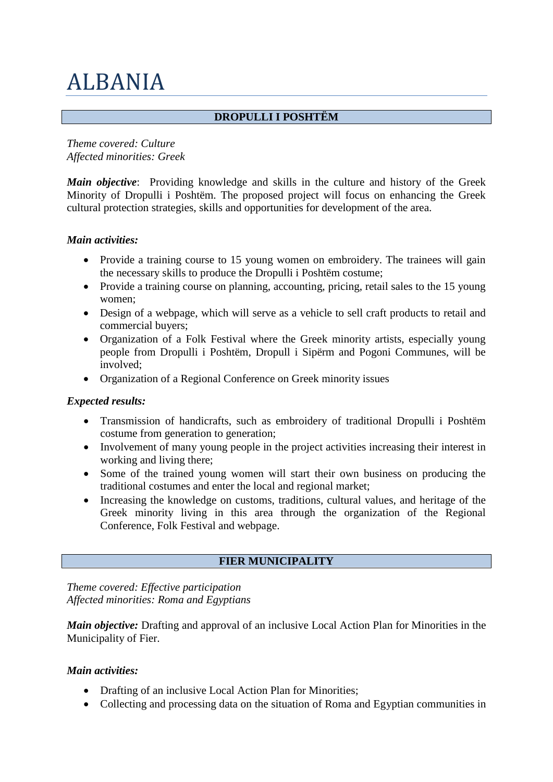# ALBANIA

## **DROPULLI I POSHTËM**

*Theme covered: Culture Affected minorities: Greek*

*Main objective*: Providing knowledge and skills in the culture and history of the Greek Minority of Dropulli i Poshtëm. The proposed project will focus on enhancing the Greek cultural protection strategies, skills and opportunities for development of the area.

#### *Main activities:*

- Provide a training course to 15 young women on embroidery. The trainees will gain the necessary skills to produce the Dropulli i Poshtëm costume;
- Provide a training course on planning, accounting, pricing, retail sales to the 15 young women;
- Design of a webpage, which will serve as a vehicle to sell craft products to retail and commercial buyers;
- Organization of a Folk Festival where the Greek minority artists, especially young people from Dropulli i Poshtëm, Dropull i Sipërm and Pogoni Communes, will be involved;
- Organization of a Regional Conference on Greek minority issues

#### *Expected results:*

- Transmission of handicrafts, such as embroidery of traditional Dropulli i Poshtëm costume from generation to generation;
- Involvement of many young people in the project activities increasing their interest in working and living there;
- Some of the trained young women will start their own business on producing the traditional costumes and enter the local and regional market;
- Increasing the knowledge on customs, traditions, cultural values, and heritage of the Greek minority living in this area through the organization of the Regional Conference, Folk Festival and webpage.

# **FIER MUNICIPALITY**

*Theme covered: Effective participation Affected minorities: Roma and Egyptians*

*Main objective:* Drafting and approval of an inclusive Local Action Plan for Minorities in the Municipality of Fier.

#### *Main activities:*

- Drafting of an inclusive Local Action Plan for Minorities;
- Collecting and processing data on the situation of Roma and Egyptian communities in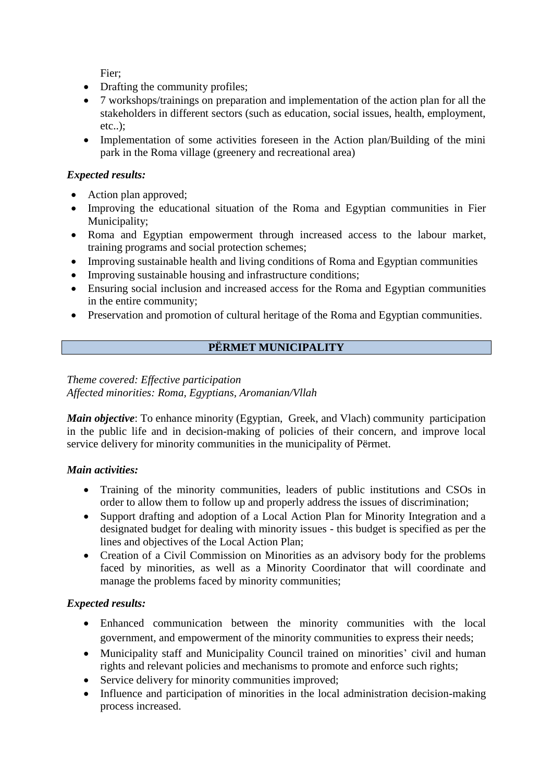Fier;

- Drafting the community profiles;
- 7 workshops/trainings on preparation and implementation of the action plan for all the stakeholders in different sectors (such as education, social issues, health, employment, etc..);
- Implementation of some activities foreseen in the Action plan/Building of the mini park in the Roma village (greenery and recreational area)

#### *Expected results:*

- Action plan approved;
- Improving the educational situation of the Roma and Egyptian communities in Fier Municipality;
- Roma and Egyptian empowerment through increased access to the labour market, training programs and social protection schemes;
- Improving sustainable health and living conditions of Roma and Egyptian communities
- Improving sustainable housing and infrastructure conditions;
- Ensuring social inclusion and increased access for the Roma and Egyptian communities in the entire community;
- Preservation and promotion of cultural heritage of the Roma and Egyptian communities.

## **PËRMET MUNICIPALITY**

#### *Theme covered: Effective participation Affected minorities: Roma, Egyptians, Aromanian/Vllah*

*Main objective*: To enhance minority (Egyptian, Greek, and Vlach) community participation in the public life and in decision-making of policies of their concern, and improve local service delivery for minority communities in the municipality of Përmet.

#### *Main activities:*

- Training of the minority communities, leaders of public institutions and CSOs in order to allow them to follow up and properly address the issues of discrimination;
- Support drafting and adoption of a Local Action Plan for Minority Integration and a designated budget for dealing with minority issues - this budget is specified as per the lines and objectives of the Local Action Plan;
- Creation of a Civil Commission on Minorities as an advisory body for the problems faced by minorities, as well as a Minority Coordinator that will coordinate and manage the problems faced by minority communities;

#### *Expected results:*

- Enhanced communication between the minority communities with the local government, and empowerment of the minority communities to express their needs;
- Municipality staff and Municipality Council trained on minorities' civil and human rights and relevant policies and mechanisms to promote and enforce such rights;
- Service delivery for minority communities improved;
- Influence and participation of minorities in the local administration decision-making process increased.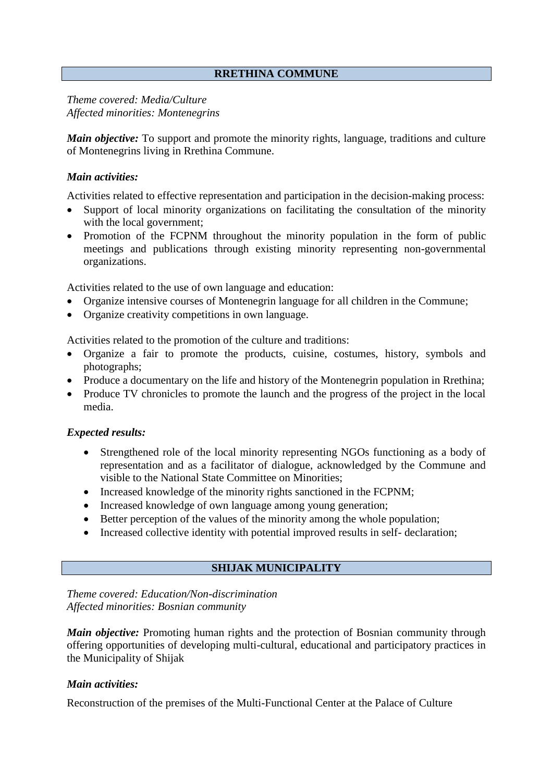#### **RRETHINA COMMUNE**

*Theme covered: Media/Culture Affected minorities: Montenegrins*

*Main objective:* To support and promote the minority rights, language, traditions and culture of Montenegrins living in Rrethina Commune.

#### *Main activities:*

Activities related to effective representation and participation in the decision-making process:

- Support of local minority organizations on facilitating the consultation of the minority with the local government;
- Promotion of the FCPNM throughout the minority population in the form of public meetings and publications through existing minority representing non-governmental organizations.

Activities related to the use of own language and education:

- Organize intensive courses of Montenegrin language for all children in the Commune;
- Organize creativity competitions in own language.

Activities related to the promotion of the culture and traditions:

- Organize a fair to promote the products, cuisine, costumes, history, symbols and photographs;
- Produce a documentary on the life and history of the Montenegrin population in Rrethina;
- Produce TV chronicles to promote the launch and the progress of the project in the local media.

#### *Expected results:*

- Strengthened role of the local minority representing NGOs functioning as a body of representation and as a facilitator of dialogue, acknowledged by the Commune and visible to the National State Committee on Minorities;
- Increased knowledge of the minority rights sanctioned in the FCPNM;
- Increased knowledge of own language among young generation;
- Better perception of the values of the minority among the whole population;
- Increased collective identity with potential improved results in self- declaration;

#### **SHIJAK MUNICIPALITY**

*Theme covered: Education/Non-discrimination Affected minorities: Bosnian community* 

*Main objective:* Promoting human rights and the protection of Bosnian community through offering opportunities of developing multi-cultural, educational and participatory practices in the Municipality of Shijak

#### *Main activities:*

Reconstruction of the premises of the Multi-Functional Center at the Palace of Culture